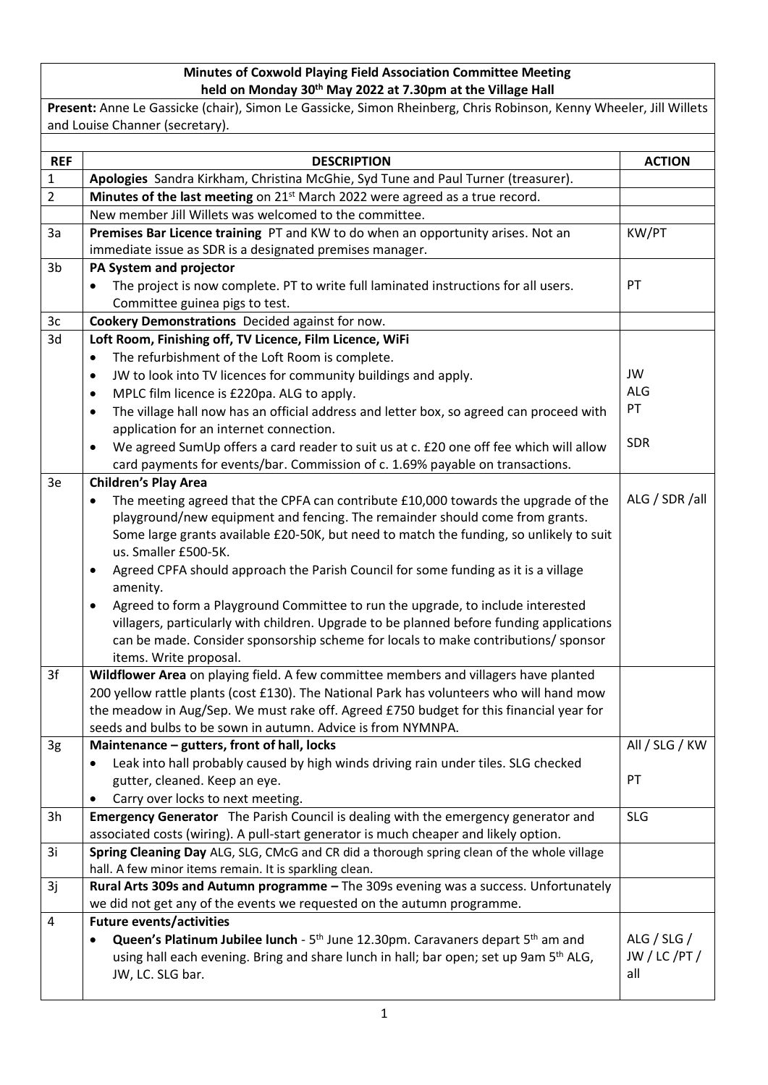## **Minutes of Coxwold Playing Field Association Committee Meeting held on Monday 30th May 2022 at 7.30pm at the Village Hall**

**Present:** Anne Le Gassicke (chair), Simon Le Gassicke, Simon Rheinberg, Chris Robinson, Kenny Wheeler, Jill Willets and Louise Channer (secretary).

| <b>REF</b>     | <b>DESCRIPTION</b>                                                                                                                                   | <b>ACTION</b>  |
|----------------|------------------------------------------------------------------------------------------------------------------------------------------------------|----------------|
| 1              | Apologies Sandra Kirkham, Christina McGhie, Syd Tune and Paul Turner (treasurer).                                                                    |                |
| $\overline{2}$ | Minutes of the last meeting on 21 <sup>st</sup> March 2022 were agreed as a true record.                                                             |                |
|                | New member Jill Willets was welcomed to the committee.                                                                                               |                |
| 3a             | Premises Bar Licence training PT and KW to do when an opportunity arises. Not an                                                                     | KW/PT          |
|                | immediate issue as SDR is a designated premises manager.                                                                                             |                |
| 3 <sub>b</sub> | PA System and projector                                                                                                                              |                |
|                | The project is now complete. PT to write full laminated instructions for all users.                                                                  | PT             |
|                | Committee guinea pigs to test.                                                                                                                       |                |
| 3c             | Cookery Demonstrations Decided against for now.                                                                                                      |                |
| 3d             | Loft Room, Finishing off, TV Licence, Film Licence, WiFi                                                                                             |                |
|                | The refurbishment of the Loft Room is complete.<br>$\bullet$                                                                                         |                |
|                | JW to look into TV licences for community buildings and apply.<br>$\bullet$                                                                          | JW             |
|                | MPLC film licence is £220pa. ALG to apply.<br>$\bullet$                                                                                              | <b>ALG</b>     |
|                | The village hall now has an official address and letter box, so agreed can proceed with<br>$\bullet$                                                 | PT             |
|                | application for an internet connection.                                                                                                              |                |
|                | We agreed SumUp offers a card reader to suit us at c. £20 one off fee which will allow<br>$\bullet$                                                  | <b>SDR</b>     |
|                | card payments for events/bar. Commission of c. 1.69% payable on transactions.                                                                        |                |
| 3e             | <b>Children's Play Area</b>                                                                                                                          |                |
|                | The meeting agreed that the CPFA can contribute £10,000 towards the upgrade of the<br>$\bullet$                                                      | ALG / SDR /all |
|                | playground/new equipment and fencing. The remainder should come from grants.                                                                         |                |
|                | Some large grants available £20-50K, but need to match the funding, so unlikely to suit<br>us. Smaller £500-5K.                                      |                |
|                | Agreed CPFA should approach the Parish Council for some funding as it is a village<br>$\bullet$                                                      |                |
|                | amenity.                                                                                                                                             |                |
|                | Agreed to form a Playground Committee to run the upgrade, to include interested<br>$\bullet$                                                         |                |
|                | villagers, particularly with children. Upgrade to be planned before funding applications                                                             |                |
|                | can be made. Consider sponsorship scheme for locals to make contributions/ sponsor                                                                   |                |
|                | items. Write proposal.                                                                                                                               |                |
| 3f             | Wildflower Area on playing field. A few committee members and villagers have planted                                                                 |                |
|                | 200 yellow rattle plants (cost £130). The National Park has volunteers who will hand mow                                                             |                |
|                | the meadow in Aug/Sep. We must rake off. Agreed £750 budget for this financial year for                                                              |                |
|                | seeds and bulbs to be sown in autumn. Advice is from NYMNPA.                                                                                         |                |
| 3g             | Maintenance - gutters, front of hall, locks                                                                                                          | All / SLG / KW |
|                | Leak into hall probably caused by high winds driving rain under tiles. SLG checked                                                                   |                |
|                | gutter, cleaned. Keep an eye.                                                                                                                        | PT             |
|                | Carry over locks to next meeting.                                                                                                                    |                |
| 3h             | Emergency Generator The Parish Council is dealing with the emergency generator and                                                                   | <b>SLG</b>     |
| 3i             | associated costs (wiring). A pull-start generator is much cheaper and likely option.                                                                 |                |
|                | Spring Cleaning Day ALG, SLG, CMcG and CR did a thorough spring clean of the whole village<br>hall. A few minor items remain. It is sparkling clean. |                |
| 3j             | Rural Arts 309s and Autumn programme - The 309s evening was a success. Unfortunately                                                                 |                |
|                | we did not get any of the events we requested on the autumn programme.                                                                               |                |
| $\overline{4}$ | <b>Future events/activities</b>                                                                                                                      |                |
|                | Queen's Platinum Jubilee lunch - 5 <sup>th</sup> June 12.30pm. Caravaners depart 5 <sup>th</sup> am and                                              | ALG / SLG /    |
|                | using hall each evening. Bring and share lunch in hall; bar open; set up 9am 5 <sup>th</sup> ALG,                                                    | JW / LC / PT / |
|                | JW, LC. SLG bar.                                                                                                                                     | all            |
|                |                                                                                                                                                      |                |